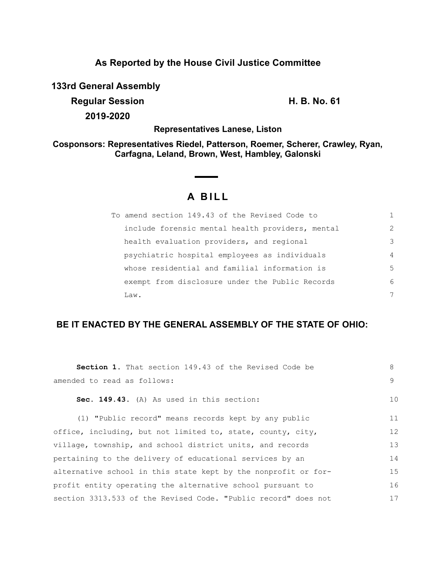## **As Reported by the House Civil Justice Committee**

**133rd General Assembly**

# **Regular Session H. B. No. 61 2019-2020**

**Representatives Lanese, Liston**

**Cosponsors: Representatives Riedel, Patterson, Roemer, Scherer, Crawley, Ryan, Carfagna, Leland, Brown, West, Hambley, Galonski**

# **A BILL**

| To amend section 149.43 of the Revised Code to   |               |
|--------------------------------------------------|---------------|
| include forensic mental health providers, mental | $\mathcal{L}$ |
| health evaluation providers, and regional        | 3             |
| psychiatric hospital employees as individuals    | 4             |
| whose residential and familial information is    | .5            |
| exempt from disclosure under the Public Records  | 6             |
| Law.                                             |               |

## **BE IT ENACTED BY THE GENERAL ASSEMBLY OF THE STATE OF OHIO:**

| <b>Section 1.</b> That section 149.43 of the Revised Code be   | 8       |
|----------------------------------------------------------------|---------|
| amended to read as follows:                                    | $\circ$ |
| Sec. 149.43. (A) As used in this section:                      | 10      |
| (1) "Public record" means records kept by any public           | 11      |
| office, including, but not limited to, state, county, city,    | 12      |
| village, township, and school district units, and records      | 13      |
| pertaining to the delivery of educational services by an       | 14      |
| alternative school in this state kept by the nonprofit or for- | 15      |
| profit entity operating the alternative school pursuant to     | 16      |
| section 3313.533 of the Revised Code. "Public record" does not | 17      |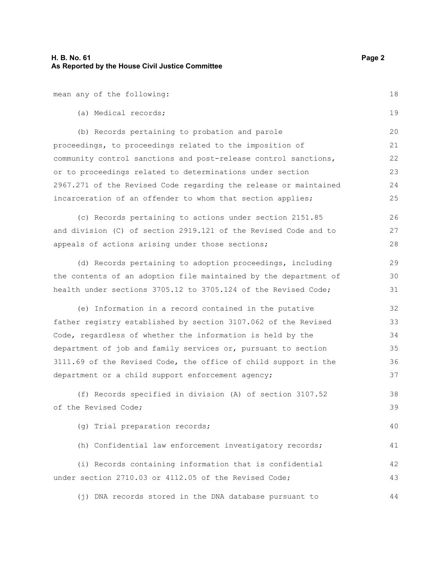| mean any of the following:                                       | 18 |
|------------------------------------------------------------------|----|
| (a) Medical records;                                             | 19 |
| (b) Records pertaining to probation and parole                   | 20 |
| proceedings, to proceedings related to the imposition of         | 21 |
| community control sanctions and post-release control sanctions,  | 22 |
| or to proceedings related to determinations under section        | 23 |
| 2967.271 of the Revised Code regarding the release or maintained | 24 |
| incarceration of an offender to whom that section applies;       | 25 |
| (c) Records pertaining to actions under section 2151.85          | 26 |
| and division (C) of section 2919.121 of the Revised Code and to  | 27 |
| appeals of actions arising under those sections;                 | 28 |
| (d) Records pertaining to adoption proceedings, including        | 29 |
| the contents of an adoption file maintained by the department of | 30 |
| health under sections 3705.12 to 3705.124 of the Revised Code;   | 31 |
| (e) Information in a record contained in the putative            | 32 |
| father registry established by section 3107.062 of the Revised   | 33 |
| Code, regardless of whether the information is held by the       | 34 |
| department of job and family services or, pursuant to section    | 35 |
| 3111.69 of the Revised Code, the office of child support in the  | 36 |
| department or a child support enforcement agency;                | 37 |
| (f) Records specified in division (A) of section 3107.52         | 38 |
| of the Revised Code;                                             | 39 |
| (g) Trial preparation records;                                   | 40 |
| (h) Confidential law enforcement investigatory records;          | 41 |
| (i) Records containing information that is confidential          | 42 |
| under section 2710.03 or 4112.05 of the Revised Code;            | 43 |
| (j) DNA records stored in the DNA database pursuant to           | 44 |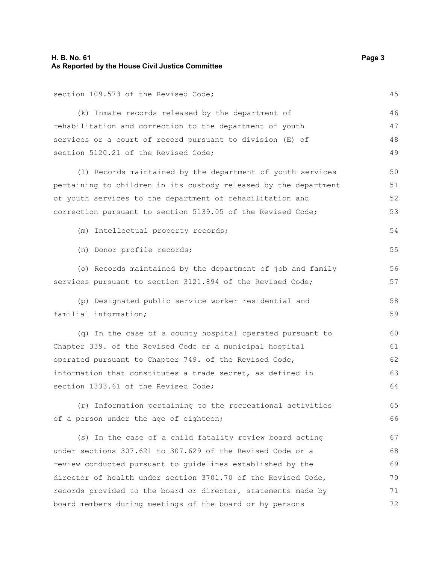### **H. B. No. 61 Page 3 As Reported by the House Civil Justice Committee**

| section 109.573 of the Revised Code;                             | 45 |
|------------------------------------------------------------------|----|
| (k) Inmate records released by the department of                 | 46 |
| rehabilitation and correction to the department of youth         | 47 |
| services or a court of record pursuant to division (E) of        | 48 |
| section 5120.21 of the Revised Code;                             | 49 |
| (1) Records maintained by the department of youth services       | 50 |
| pertaining to children in its custody released by the department | 51 |
| of youth services to the department of rehabilitation and        | 52 |
| correction pursuant to section 5139.05 of the Revised Code;      | 53 |
| (m) Intellectual property records;                               | 54 |
| (n) Donor profile records;                                       | 55 |
| (o) Records maintained by the department of job and family       | 56 |
| services pursuant to section 3121.894 of the Revised Code;       | 57 |
| (p) Designated public service worker residential and             | 58 |
| familial information;                                            | 59 |
| (q) In the case of a county hospital operated pursuant to        | 60 |
| Chapter 339. of the Revised Code or a municipal hospital         | 61 |
| operated pursuant to Chapter 749. of the Revised Code,           | 62 |
| information that constitutes a trade secret, as defined in       | 63 |
| section 1333.61 of the Revised Code;                             | 64 |
| (r) Information pertaining to the recreational activities        | 65 |
| of a person under the age of eighteen;                           | 66 |
| (s) In the case of a child fatality review board acting          | 67 |
| under sections 307.621 to 307.629 of the Revised Code or a       | 68 |
| review conducted pursuant to guidelines established by the       | 69 |
| director of health under section 3701.70 of the Revised Code,    | 70 |
| records provided to the board or director, statements made by    | 71 |

board members during meetings of the board or by persons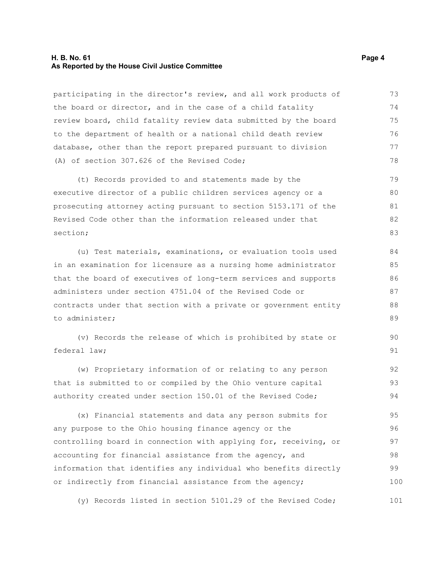#### **H. B. No. 61 Page 4 As Reported by the House Civil Justice Committee**

participating in the director's review, and all work products of the board or director, and in the case of a child fatality review board, child fatality review data submitted by the board to the department of health or a national child death review database, other than the report prepared pursuant to division (A) of section 307.626 of the Revised Code; 73 74 75 76 77 78

(t) Records provided to and statements made by the executive director of a public children services agency or a prosecuting attorney acting pursuant to section 5153.171 of the Revised Code other than the information released under that section; 79 80 81 82 83

(u) Test materials, examinations, or evaluation tools used in an examination for licensure as a nursing home administrator that the board of executives of long-term services and supports administers under section 4751.04 of the Revised Code or contracts under that section with a private or government entity to administer; 84 85 86 87 88 89

(v) Records the release of which is prohibited by state or federal law;

(w) Proprietary information of or relating to any person that is submitted to or compiled by the Ohio venture capital authority created under section 150.01 of the Revised Code; 92 93 94

(x) Financial statements and data any person submits for any purpose to the Ohio housing finance agency or the controlling board in connection with applying for, receiving, or accounting for financial assistance from the agency, and information that identifies any individual who benefits directly or indirectly from financial assistance from the agency; 95 96 97 98 99 100

(y) Records listed in section 5101.29 of the Revised Code; 101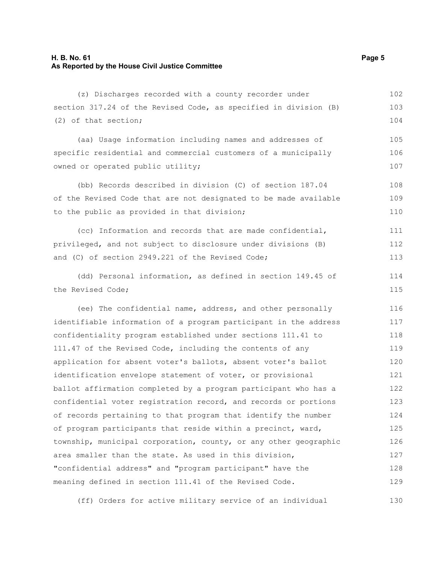#### **H. B. No. 61 Page 5 As Reported by the House Civil Justice Committee**

(z) Discharges recorded with a county recorder under section 317.24 of the Revised Code, as specified in division (B) (2) of that section; 102 103 104

(aa) Usage information including names and addresses of specific residential and commercial customers of a municipally owned or operated public utility; 105 106 107

(bb) Records described in division (C) of section 187.04 of the Revised Code that are not designated to be made available to the public as provided in that division; 108 109 110

(cc) Information and records that are made confidential, privileged, and not subject to disclosure under divisions (B) and (C) of section 2949.221 of the Revised Code; 111 112 113

(dd) Personal information, as defined in section 149.45 of the Revised Code;

(ee) The confidential name, address, and other personally identifiable information of a program participant in the address confidentiality program established under sections 111.41 to 111.47 of the Revised Code, including the contents of any application for absent voter's ballots, absent voter's ballot identification envelope statement of voter, or provisional ballot affirmation completed by a program participant who has a confidential voter registration record, and records or portions of records pertaining to that program that identify the number of program participants that reside within a precinct, ward, township, municipal corporation, county, or any other geographic area smaller than the state. As used in this division, "confidential address" and "program participant" have the meaning defined in section 111.41 of the Revised Code. 116 117 118 119 120 121 122 123 124 125 126 127 128 129

(ff) Orders for active military service of an individual 130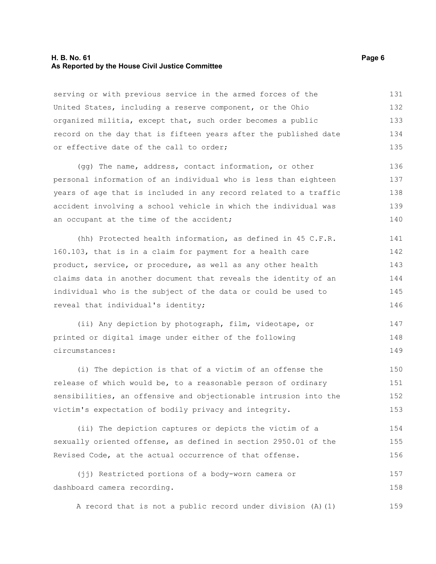#### **H. B. No. 61 Page 6 As Reported by the House Civil Justice Committee**

serving or with previous service in the armed forces of the United States, including a reserve component, or the Ohio organized militia, except that, such order becomes a public record on the day that is fifteen years after the published date or effective date of the call to order; 131 132 133 134 135

(gg) The name, address, contact information, or other personal information of an individual who is less than eighteen years of age that is included in any record related to a traffic accident involving a school vehicle in which the individual was an occupant at the time of the accident; 136 137 138 139 140

(hh) Protected health information, as defined in 45 C.F.R. 160.103, that is in a claim for payment for a health care product, service, or procedure, as well as any other health claims data in another document that reveals the identity of an individual who is the subject of the data or could be used to reveal that individual's identity; 141 142 143 144 145 146

(ii) Any depiction by photograph, film, videotape, or printed or digital image under either of the following circumstances: 147 148 149

(i) The depiction is that of a victim of an offense the release of which would be, to a reasonable person of ordinary sensibilities, an offensive and objectionable intrusion into the victim's expectation of bodily privacy and integrity. 150 151 152 153

(ii) The depiction captures or depicts the victim of a sexually oriented offense, as defined in section 2950.01 of the Revised Code, at the actual occurrence of that offense. 154 155 156

(jj) Restricted portions of a body-worn camera or dashboard camera recording. 157 158

A record that is not a public record under division (A)(1) 159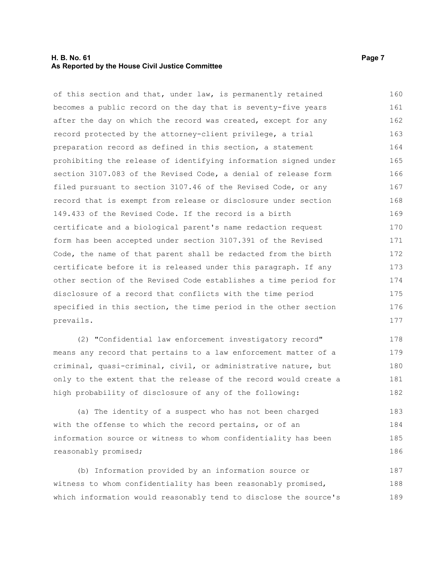#### **H. B. No. 61 Page 7 As Reported by the House Civil Justice Committee**

of this section and that, under law, is permanently retained becomes a public record on the day that is seventy-five years after the day on which the record was created, except for any record protected by the attorney-client privilege, a trial preparation record as defined in this section, a statement prohibiting the release of identifying information signed under section 3107.083 of the Revised Code, a denial of release form filed pursuant to section 3107.46 of the Revised Code, or any record that is exempt from release or disclosure under section 149.433 of the Revised Code. If the record is a birth certificate and a biological parent's name redaction request form has been accepted under section 3107.391 of the Revised Code, the name of that parent shall be redacted from the birth certificate before it is released under this paragraph. If any other section of the Revised Code establishes a time period for disclosure of a record that conflicts with the time period specified in this section, the time period in the other section prevails. 160 161 162 163 164 165 166 167 168 169 170 171 172 173 174 175 176 177

(2) "Confidential law enforcement investigatory record" means any record that pertains to a law enforcement matter of a criminal, quasi-criminal, civil, or administrative nature, but only to the extent that the release of the record would create a high probability of disclosure of any of the following: 178 179 180 181 182

(a) The identity of a suspect who has not been charged with the offense to which the record pertains, or of an information source or witness to whom confidentiality has been reasonably promised; 183 184 185 186

(b) Information provided by an information source or witness to whom confidentiality has been reasonably promised, which information would reasonably tend to disclose the source's 187 188 189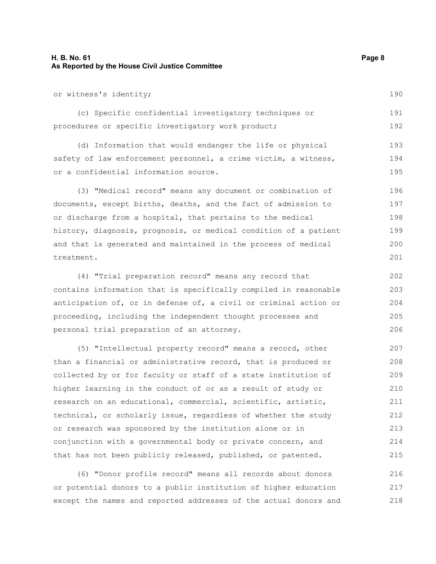#### **H. B. No. 61 Page 8 As Reported by the House Civil Justice Committee**

or witness's identity; (c) Specific confidential investigatory techniques or procedures or specific investigatory work product; (d) Information that would endanger the life or physical safety of law enforcement personnel, a crime victim, a witness, or a confidential information source. (3) "Medical record" means any document or combination of documents, except births, deaths, and the fact of admission to or discharge from a hospital, that pertains to the medical history, diagnosis, prognosis, or medical condition of a patient and that is generated and maintained in the process of medical treatment. (4) "Trial preparation record" means any record that 190 191 192 193 194 195 196 197 198 199 200 201 202

contains information that is specifically compiled in reasonable anticipation of, or in defense of, a civil or criminal action or proceeding, including the independent thought processes and personal trial preparation of an attorney. 203 204 205 206

(5) "Intellectual property record" means a record, other than a financial or administrative record, that is produced or collected by or for faculty or staff of a state institution of higher learning in the conduct of or as a result of study or research on an educational, commercial, scientific, artistic, technical, or scholarly issue, regardless of whether the study or research was sponsored by the institution alone or in conjunction with a governmental body or private concern, and that has not been publicly released, published, or patented. 207 208 209 210 211 212 213 214 215

(6) "Donor profile record" means all records about donors or potential donors to a public institution of higher education except the names and reported addresses of the actual donors and 216 217 218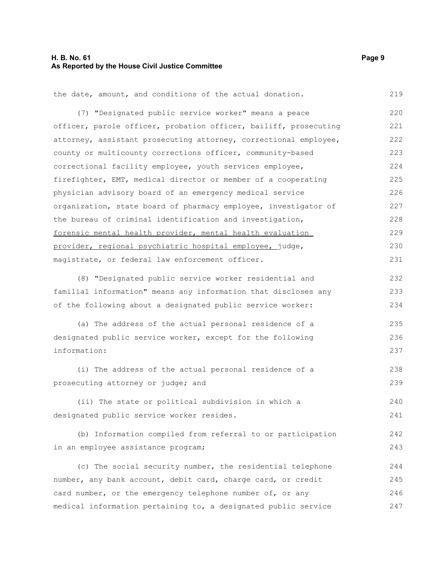#### **H. B. No. 61 Page 9 As Reported by the House Civil Justice Committee**

the date, amount, and conditions of the actual donation. (7) "Designated public service worker" means a peace officer, parole officer, probation officer, bailiff, prosecuting attorney, assistant prosecuting attorney, correctional employee, county or multicounty corrections officer, community-based correctional facility employee, youth services employee, firefighter, EMT, medical director or member of a cooperating physician advisory board of an emergency medical service organization, state board of pharmacy employee, investigator of the bureau of criminal identification and investigation, forensic mental health provider, mental health evaluation provider, regional psychiatric hospital employee, judge, magistrate, or federal law enforcement officer. (8) "Designated public service worker residential and familial information" means any information that discloses any of the following about a designated public service worker: (a) The address of the actual personal residence of a designated public service worker, except for the following information: (i) The address of the actual personal residence of a prosecuting attorney or judge; and (ii) The state or political subdivision in which a designated public service worker resides. (b) Information compiled from referral to or participation in an employee assistance program; (c) The social security number, the residential telephone 219 220 221 222 223 224 225 226 227 228 229 230 231 232 233 234 235 236 237 238 239 240 241 242 243 244

number, any bank account, debit card, charge card, or credit card number, or the emergency telephone number of, or any medical information pertaining to, a designated public service 245 246 247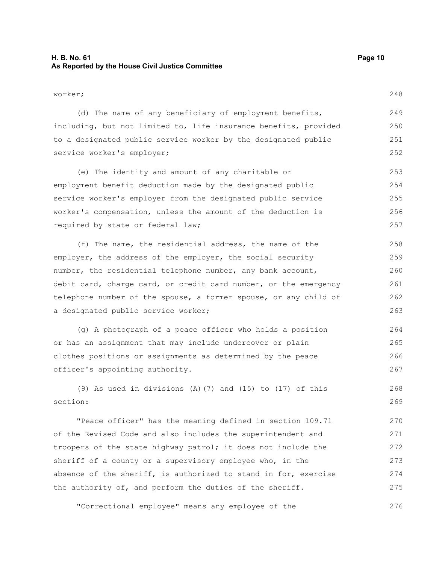#### **H. B. No. 61 Page 10 As Reported by the House Civil Justice Committee**

worker;

248

| (d) The name of any beneficiary of employment benefits,          | 249  |
|------------------------------------------------------------------|------|
| including, but not limited to, life insurance benefits, provided | 250  |
| to a designated public service worker by the designated public   | 251  |
| service worker's employer;                                       | 2.52 |

(e) The identity and amount of any charitable or employment benefit deduction made by the designated public service worker's employer from the designated public service worker's compensation, unless the amount of the deduction is required by state or federal law; 253 254 255 256 257

(f) The name, the residential address, the name of the employer, the address of the employer, the social security number, the residential telephone number, any bank account, debit card, charge card, or credit card number, or the emergency telephone number of the spouse, a former spouse, or any child of a designated public service worker; 258 259 260 261 262 263

(g) A photograph of a peace officer who holds a position or has an assignment that may include undercover or plain clothes positions or assignments as determined by the peace officer's appointing authority. 264 265 266 267

(9) As used in divisions (A)(7) and (15) to (17) of this section: 268 269

"Peace officer" has the meaning defined in section 109.71 of the Revised Code and also includes the superintendent and troopers of the state highway patrol; it does not include the sheriff of a county or a supervisory employee who, in the absence of the sheriff, is authorized to stand in for, exercise the authority of, and perform the duties of the sheriff. 270 271 272 273 274 275

"Correctional employee" means any employee of the 276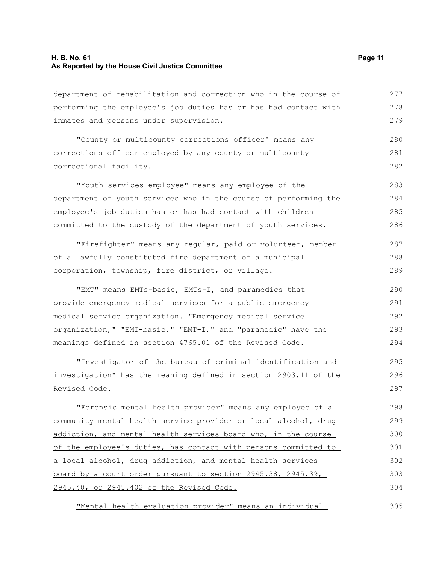#### **H. B. No. 61 Page 11 As Reported by the House Civil Justice Committee**

department of rehabilitation and correction who in the course of performing the employee's job duties has or has had contact with inmates and persons under supervision. 277 278 279

"County or multicounty corrections officer" means any corrections officer employed by any county or multicounty correctional facility. 280 281 282

"Youth services employee" means any employee of the department of youth services who in the course of performing the employee's job duties has or has had contact with children committed to the custody of the department of youth services. 283 284 285 286

"Firefighter" means any regular, paid or volunteer, member of a lawfully constituted fire department of a municipal corporation, township, fire district, or village. 287 288 289

"EMT" means EMTs-basic, EMTs-I, and paramedics that provide emergency medical services for a public emergency medical service organization. "Emergency medical service organization," "EMT-basic," "EMT-I," and "paramedic" have the meanings defined in section 4765.01 of the Revised Code. 290 291 292 293 294

"Investigator of the bureau of criminal identification and investigation" has the meaning defined in section 2903.11 of the Revised Code. 295 296 297

"Forensic mental health provider" means any employee of a community mental health service provider or local alcohol, drug addiction, and mental health services board who, in the course of the employee's duties, has contact with persons committed to a local alcohol, drug addiction, and mental health services board by a court order pursuant to section 2945.38, 2945.39, 2945.40, or 2945.402 of the Revised Code. 298 299 300 301 302 303 304

"Mental health evaluation provider" means an individual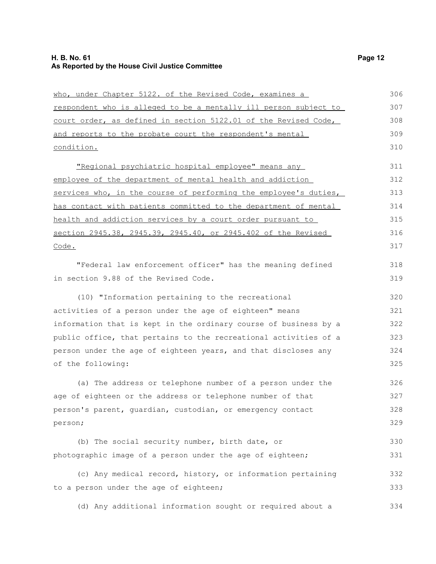## **H. B. No. 61 Page 12 As Reported by the House Civil Justice Committee**

| who, under Chapter 5122. of the Revised Code, examines a         | 306 |
|------------------------------------------------------------------|-----|
| respondent who is alleged to be a mentally ill person subject to | 307 |
| court order, as defined in section 5122.01 of the Revised Code,  | 308 |
| and reports to the probate court the respondent's mental         | 309 |
| <u>condition.</u>                                                | 310 |
| "Regional psychiatric hospital employee" means any               | 311 |
| employee of the department of mental health and addiction        | 312 |
| services who, in the course of performing the employee's duties, | 313 |
| has contact with patients committed to the department of mental  | 314 |
| health and addiction services by a court order pursuant to       | 315 |
| section 2945.38, 2945.39, 2945.40, or 2945.402 of the Revised    | 316 |
| Code.                                                            | 317 |
| "Federal law enforcement officer" has the meaning defined        | 318 |
| in section 9.88 of the Revised Code.                             | 319 |
| (10) "Information pertaining to the recreational                 | 320 |
| activities of a person under the age of eighteen" means          | 321 |
| information that is kept in the ordinary course of business by a | 322 |
| public office, that pertains to the recreational activities of a | 323 |
| person under the age of eighteen years, and that discloses any   | 324 |
| of the following:                                                | 325 |
| (a) The address or telephone number of a person under the        | 326 |
| age of eighteen or the address or telephone number of that       | 327 |
| person's parent, guardian, custodian, or emergency contact       | 328 |
| person;                                                          | 329 |
| (b) The social security number, birth date, or                   | 330 |
| photographic image of a person under the age of eighteen;        | 331 |
| (c) Any medical record, history, or information pertaining       | 332 |
| to a person under the age of eighteen;                           | 333 |
| (d) Any additional information sought or required about a        | 334 |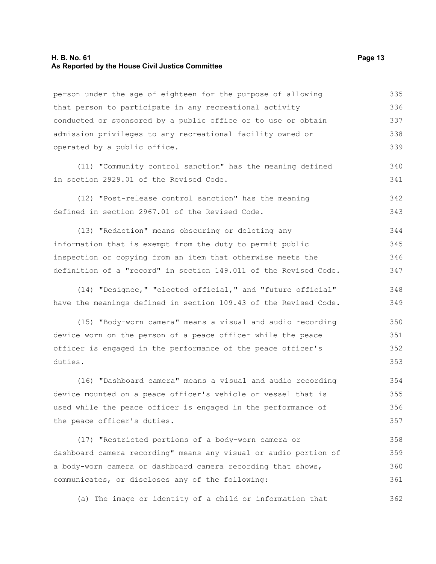#### **H. B. No. 61 Page 13 As Reported by the House Civil Justice Committee**

person under the age of eighteen for the purpose of allowing that person to participate in any recreational activity conducted or sponsored by a public office or to use or obtain admission privileges to any recreational facility owned or operated by a public office. (11) "Community control sanction" has the meaning defined in section 2929.01 of the Revised Code. (12) "Post-release control sanction" has the meaning defined in section 2967.01 of the Revised Code. (13) "Redaction" means obscuring or deleting any information that is exempt from the duty to permit public inspection or copying from an item that otherwise meets the definition of a "record" in section 149.011 of the Revised Code. (14) "Designee," "elected official," and "future official" have the meanings defined in section 109.43 of the Revised Code. (15) "Body-worn camera" means a visual and audio recording device worn on the person of a peace officer while the peace officer is engaged in the performance of the peace officer's duties. (16) "Dashboard camera" means a visual and audio recording device mounted on a peace officer's vehicle or vessel that is used while the peace officer is engaged in the performance of the peace officer's duties. (17) "Restricted portions of a body-worn camera or dashboard camera recording" means any visual or audio portion of a body-worn camera or dashboard camera recording that shows, communicates, or discloses any of the following: 335 336 337 338 339 340 341 342 343 344 345 346 347 348 349 350 351 352 353 354 355 356 357 358 359 360 361

(a) The image or identity of a child or information that 362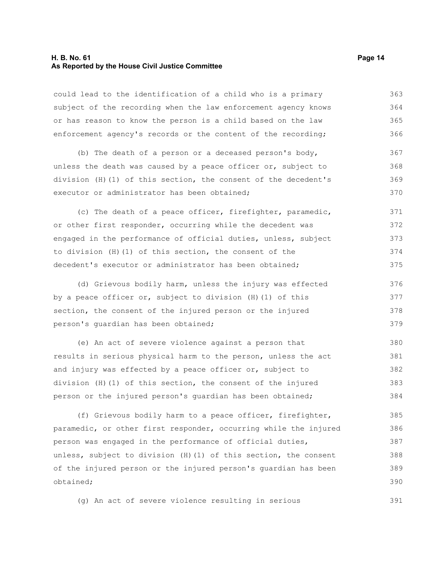#### **H. B. No. 61 Page 14 As Reported by the House Civil Justice Committee**

could lead to the identification of a child who is a primary subject of the recording when the law enforcement agency knows or has reason to know the person is a child based on the law enforcement agency's records or the content of the recording; 363 364 365 366

(b) The death of a person or a deceased person's body, unless the death was caused by a peace officer or, subject to division (H)(1) of this section, the consent of the decedent's executor or administrator has been obtained; 367 368 369 370

(c) The death of a peace officer, firefighter, paramedic, or other first responder, occurring while the decedent was engaged in the performance of official duties, unless, subject to division (H)(1) of this section, the consent of the decedent's executor or administrator has been obtained; 371 372 373 374 375

(d) Grievous bodily harm, unless the injury was effected by a peace officer or, subject to division (H)(1) of this section, the consent of the injured person or the injured person's guardian has been obtained; 376 377 378 379

(e) An act of severe violence against a person that results in serious physical harm to the person, unless the act and injury was effected by a peace officer or, subject to division (H)(1) of this section, the consent of the injured person or the injured person's guardian has been obtained; 380 381 382 383 384

(f) Grievous bodily harm to a peace officer, firefighter, paramedic, or other first responder, occurring while the injured person was engaged in the performance of official duties, unless, subject to division (H)(1) of this section, the consent of the injured person or the injured person's guardian has been obtained; 385 386 387 388 389 390

(g) An act of severe violence resulting in serious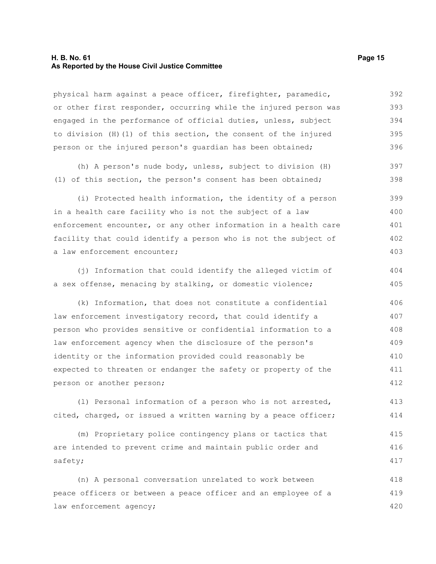#### **H. B. No. 61 Page 15 As Reported by the House Civil Justice Committee**

physical harm against a peace officer, firefighter, paramedic, or other first responder, occurring while the injured person was engaged in the performance of official duties, unless, subject to division (H)(1) of this section, the consent of the injured person or the injured person's guardian has been obtained; 392 393 394 395 396

(h) A person's nude body, unless, subject to division (H) (1) of this section, the person's consent has been obtained;

(i) Protected health information, the identity of a person in a health care facility who is not the subject of a law enforcement encounter, or any other information in a health care facility that could identify a person who is not the subject of a law enforcement encounter; 399 400 401 402 403

(j) Information that could identify the alleged victim of a sex offense, menacing by stalking, or domestic violence; 404 405

(k) Information, that does not constitute a confidential law enforcement investigatory record, that could identify a person who provides sensitive or confidential information to a law enforcement agency when the disclosure of the person's identity or the information provided could reasonably be expected to threaten or endanger the safety or property of the person or another person; 406 407 408 409 410 411 412

(l) Personal information of a person who is not arrested, cited, charged, or issued a written warning by a peace officer; 413 414

(m) Proprietary police contingency plans or tactics that are intended to prevent crime and maintain public order and safety; 415 416 417

(n) A personal conversation unrelated to work between peace officers or between a peace officer and an employee of a law enforcement agency; 418 419 420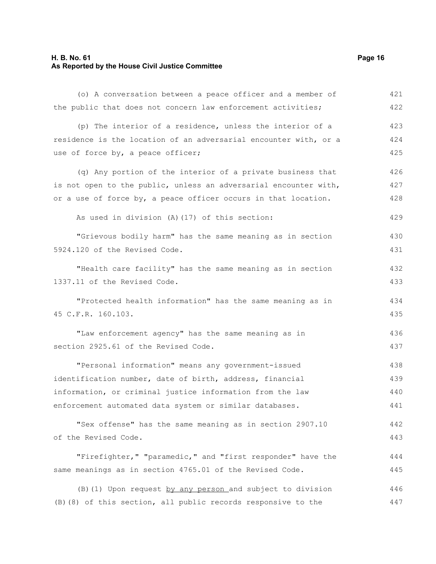### **H. B. No. 61 Page 16 As Reported by the House Civil Justice Committee**

| (o) A conversation between a peace officer and a member of       | 421 |
|------------------------------------------------------------------|-----|
| the public that does not concern law enforcement activities;     | 422 |
| (p) The interior of a residence, unless the interior of a        | 423 |
| residence is the location of an adversarial encounter with, or a | 424 |
| use of force by, a peace officer;                                | 425 |
| (q) Any portion of the interior of a private business that       | 426 |
| is not open to the public, unless an adversarial encounter with, | 427 |
| or a use of force by, a peace officer occurs in that location.   | 428 |
| As used in division (A) (17) of this section:                    | 429 |
| "Grievous bodily harm" has the same meaning as in section        | 430 |
| 5924.120 of the Revised Code.                                    | 431 |
| "Health care facility" has the same meaning as in section        | 432 |
| 1337.11 of the Revised Code.                                     | 433 |
| "Protected health information" has the same meaning as in        | 434 |
| 45 C.F.R. 160.103.                                               | 435 |
| "Law enforcement agency" has the same meaning as in              | 436 |
| section 2925.61 of the Revised Code.                             | 437 |
| "Personal information" means any government-issued               | 438 |
| identification number, date of birth, address, financial         | 439 |
| information, or criminal justice information from the law        | 440 |
| enforcement automated data system or similar databases.          | 441 |
| "Sex offense" has the same meaning as in section 2907.10         | 442 |
| of the Revised Code.                                             | 443 |
| "Firefighter," "paramedic," and "first responder" have the       | 444 |
| same meanings as in section 4765.01 of the Revised Code.         | 445 |
| (B) (1) Upon request by any person and subject to division       | 446 |
| (B) (8) of this section, all public records responsive to the    | 447 |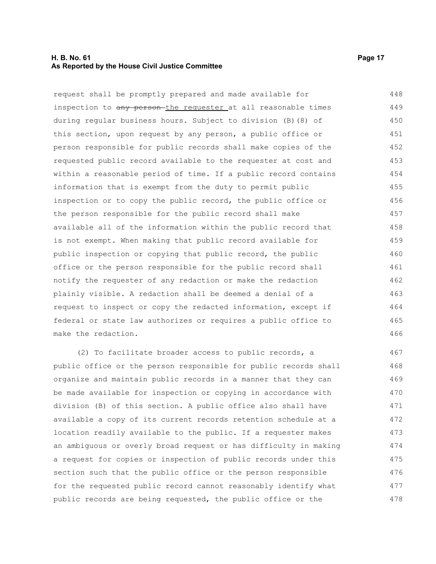#### **H. B. No. 61 Page 17 As Reported by the House Civil Justice Committee**

request shall be promptly prepared and made available for inspection to any person-the requester at all reasonable times during regular business hours. Subject to division (B)(8) of this section, upon request by any person, a public office or person responsible for public records shall make copies of the requested public record available to the requester at cost and within a reasonable period of time. If a public record contains information that is exempt from the duty to permit public inspection or to copy the public record, the public office or the person responsible for the public record shall make available all of the information within the public record that is not exempt. When making that public record available for public inspection or copying that public record, the public office or the person responsible for the public record shall notify the requester of any redaction or make the redaction plainly visible. A redaction shall be deemed a denial of a request to inspect or copy the redacted information, except if federal or state law authorizes or requires a public office to make the redaction. 448 449 450 451 452 453 454 455 456 457 458 459 460 461 462 463 464 465 466

(2) To facilitate broader access to public records, a public office or the person responsible for public records shall organize and maintain public records in a manner that they can be made available for inspection or copying in accordance with division (B) of this section. A public office also shall have available a copy of its current records retention schedule at a location readily available to the public. If a requester makes an ambiguous or overly broad request or has difficulty in making a request for copies or inspection of public records under this section such that the public office or the person responsible for the requested public record cannot reasonably identify what public records are being requested, the public office or the 467 468 469 470 471 472 473 474 475 476 477 478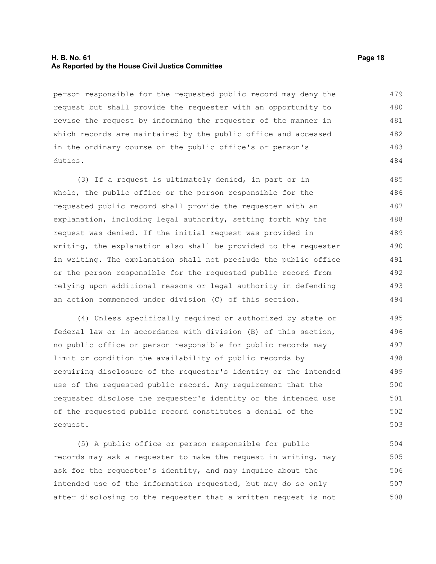#### **H. B. No. 61 Page 18 As Reported by the House Civil Justice Committee**

person responsible for the requested public record may deny the request but shall provide the requester with an opportunity to revise the request by informing the requester of the manner in which records are maintained by the public office and accessed in the ordinary course of the public office's or person's duties. 479 480 481 482 483 484

(3) If a request is ultimately denied, in part or in whole, the public office or the person responsible for the requested public record shall provide the requester with an explanation, including legal authority, setting forth why the request was denied. If the initial request was provided in writing, the explanation also shall be provided to the requester in writing. The explanation shall not preclude the public office or the person responsible for the requested public record from relying upon additional reasons or legal authority in defending an action commenced under division (C) of this section. 485 486 487 488 489 490 491 492 493 494

(4) Unless specifically required or authorized by state or federal law or in accordance with division (B) of this section, no public office or person responsible for public records may limit or condition the availability of public records by requiring disclosure of the requester's identity or the intended use of the requested public record. Any requirement that the requester disclose the requester's identity or the intended use of the requested public record constitutes a denial of the request. 495 496 497 498 499 500 501 502 503

(5) A public office or person responsible for public records may ask a requester to make the request in writing, may ask for the requester's identity, and may inquire about the intended use of the information requested, but may do so only after disclosing to the requester that a written request is not 504 505 506 507 508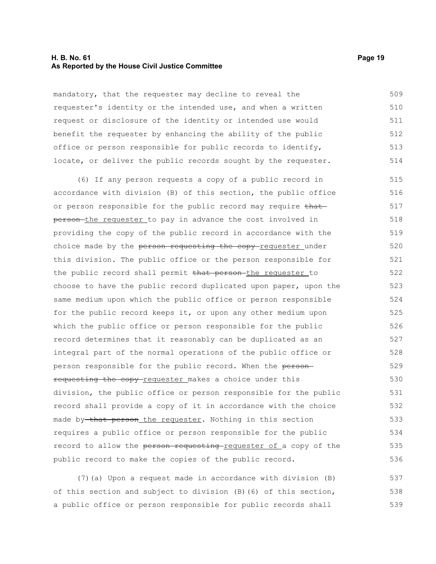#### **H. B. No. 61 Page 19 As Reported by the House Civil Justice Committee**

mandatory, that the requester may decline to reveal the requester's identity or the intended use, and when a written request or disclosure of the identity or intended use would benefit the requester by enhancing the ability of the public office or person responsible for public records to identify, locate, or deliver the public records sought by the requester. 509 510 511 512 513 514

(6) If any person requests a copy of a public record in accordance with division (B) of this section, the public office or person responsible for the public record may require that person-the requester to pay in advance the cost involved in providing the copy of the public record in accordance with the choice made by the person requesting the copy-requester under this division. The public office or the person responsible for the public record shall permit that person the requester to choose to have the public record duplicated upon paper, upon the same medium upon which the public office or person responsible for the public record keeps it, or upon any other medium upon which the public office or person responsible for the public record determines that it reasonably can be duplicated as an integral part of the normal operations of the public office or person responsible for the public record. When the personrequesting the copy-requester makes a choice under this division, the public office or person responsible for the public record shall provide a copy of it in accordance with the choice made by that person the requester. Nothing in this section requires a public office or person responsible for the public record to allow the person requesting requester of a copy of the public record to make the copies of the public record. 515 516 517 518 519 520 521 522 523 524 525 526 527 528 529 530 531 532 533 534 535 536

(7)(a) Upon a request made in accordance with division (B) of this section and subject to division (B)(6) of this section, a public office or person responsible for public records shall 537 538 539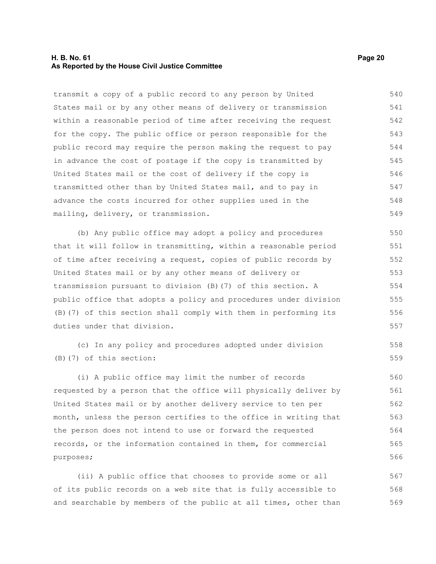#### **H. B. No. 61 Page 20 As Reported by the House Civil Justice Committee**

transmit a copy of a public record to any person by United States mail or by any other means of delivery or transmission within a reasonable period of time after receiving the request for the copy. The public office or person responsible for the public record may require the person making the request to pay in advance the cost of postage if the copy is transmitted by United States mail or the cost of delivery if the copy is transmitted other than by United States mail, and to pay in advance the costs incurred for other supplies used in the mailing, delivery, or transmission. 540 541 542 543 544 545 546 547 548 549

(b) Any public office may adopt a policy and procedures that it will follow in transmitting, within a reasonable period of time after receiving a request, copies of public records by United States mail or by any other means of delivery or transmission pursuant to division (B)(7) of this section. A public office that adopts a policy and procedures under division (B)(7) of this section shall comply with them in performing its duties under that division.

(c) In any policy and procedures adopted under division (B)(7) of this section:

(i) A public office may limit the number of records requested by a person that the office will physically deliver by United States mail or by another delivery service to ten per month, unless the person certifies to the office in writing that the person does not intend to use or forward the requested records, or the information contained in them, for commercial purposes;

(ii) A public office that chooses to provide some or all of its public records on a web site that is fully accessible to and searchable by members of the public at all times, other than 567 568 569

558 559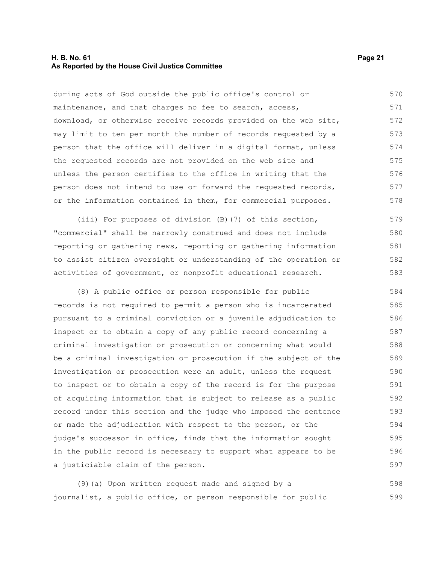#### **H. B. No. 61 Page 21 As Reported by the House Civil Justice Committee**

during acts of God outside the public office's control or maintenance, and that charges no fee to search, access, download, or otherwise receive records provided on the web site, may limit to ten per month the number of records requested by a person that the office will deliver in a digital format, unless the requested records are not provided on the web site and unless the person certifies to the office in writing that the person does not intend to use or forward the requested records, or the information contained in them, for commercial purposes. 570 571 572 573 574 575 576 577 578

(iii) For purposes of division (B)(7) of this section, "commercial" shall be narrowly construed and does not include reporting or gathering news, reporting or gathering information to assist citizen oversight or understanding of the operation or activities of government, or nonprofit educational research. 579 580 581 582 583

(8) A public office or person responsible for public records is not required to permit a person who is incarcerated pursuant to a criminal conviction or a juvenile adjudication to inspect or to obtain a copy of any public record concerning a criminal investigation or prosecution or concerning what would be a criminal investigation or prosecution if the subject of the investigation or prosecution were an adult, unless the request to inspect or to obtain a copy of the record is for the purpose of acquiring information that is subject to release as a public record under this section and the judge who imposed the sentence or made the adjudication with respect to the person, or the judge's successor in office, finds that the information sought in the public record is necessary to support what appears to be a justiciable claim of the person. 584 585 586 587 588 589 590 591 592 593 594 595 596 597

(9)(a) Upon written request made and signed by a journalist, a public office, or person responsible for public 598 599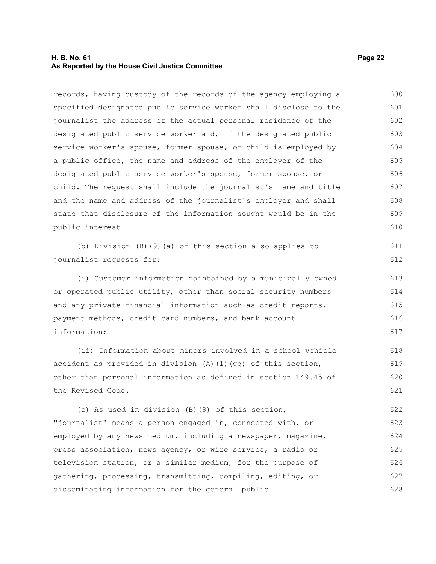#### **H. B. No. 61 Page 22 As Reported by the House Civil Justice Committee**

records, having custody of the records of the agency employing a specified designated public service worker shall disclose to the journalist the address of the actual personal residence of the designated public service worker and, if the designated public service worker's spouse, former spouse, or child is employed by a public office, the name and address of the employer of the designated public service worker's spouse, former spouse, or child. The request shall include the journalist's name and title and the name and address of the journalist's employer and shall state that disclosure of the information sought would be in the public interest. 600 601 602 603 604 605 606 607 608 609 610

(b) Division (B)(9)(a) of this section also applies to journalist requests for:

(i) Customer information maintained by a municipally owned or operated public utility, other than social security numbers and any private financial information such as credit reports, payment methods, credit card numbers, and bank account information;

(ii) Information about minors involved in a school vehicle accident as provided in division  $(A)$   $(1)$  (gg) of this section, other than personal information as defined in section 149.45 of the Revised Code. 618 619 620 621

(c) As used in division (B)(9) of this section, "journalist" means a person engaged in, connected with, or employed by any news medium, including a newspaper, magazine, press association, news agency, or wire service, a radio or television station, or a similar medium, for the purpose of gathering, processing, transmitting, compiling, editing, or disseminating information for the general public. 622 623 624 625 626 627 628

611 612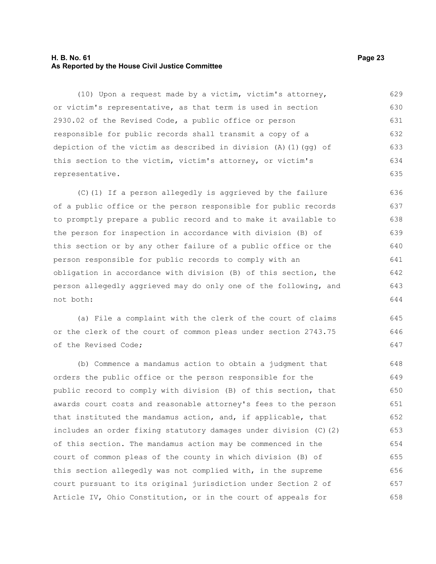#### **H. B. No. 61 Page 23 As Reported by the House Civil Justice Committee**

(10) Upon a request made by a victim, victim's attorney, or victim's representative, as that term is used in section 2930.02 of the Revised Code, a public office or person responsible for public records shall transmit a copy of a depiction of the victim as described in division  $(A)$  (1)(gg) of this section to the victim, victim's attorney, or victim's representative. 629 630 631 632 633 634 635

(C)(1) If a person allegedly is aggrieved by the failure of a public office or the person responsible for public records to promptly prepare a public record and to make it available to the person for inspection in accordance with division (B) of this section or by any other failure of a public office or the person responsible for public records to comply with an obligation in accordance with division (B) of this section, the person allegedly aggrieved may do only one of the following, and not both: 636 637 638 639 640 641 642 643 644

(a) File a complaint with the clerk of the court of claims or the clerk of the court of common pleas under section 2743.75 of the Revised Code;

(b) Commence a mandamus action to obtain a judgment that orders the public office or the person responsible for the public record to comply with division (B) of this section, that awards court costs and reasonable attorney's fees to the person that instituted the mandamus action, and, if applicable, that includes an order fixing statutory damages under division (C)(2) of this section. The mandamus action may be commenced in the court of common pleas of the county in which division (B) of this section allegedly was not complied with, in the supreme court pursuant to its original jurisdiction under Section 2 of Article IV, Ohio Constitution, or in the court of appeals for 648 649 650 651 652 653 654 655 656 657 658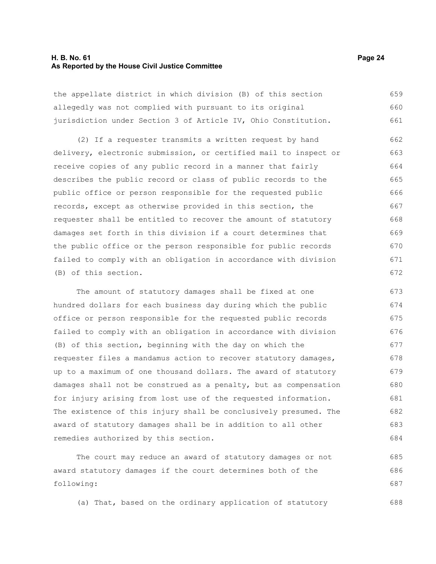#### **H. B. No. 61 Page 24 As Reported by the House Civil Justice Committee**

the appellate district in which division (B) of this section allegedly was not complied with pursuant to its original jurisdiction under Section 3 of Article IV, Ohio Constitution. 659 660 661

(2) If a requester transmits a written request by hand delivery, electronic submission, or certified mail to inspect or receive copies of any public record in a manner that fairly describes the public record or class of public records to the public office or person responsible for the requested public records, except as otherwise provided in this section, the requester shall be entitled to recover the amount of statutory damages set forth in this division if a court determines that the public office or the person responsible for public records failed to comply with an obligation in accordance with division (B) of this section. 662 663 664 665 666 667 668 669 670 671 672

The amount of statutory damages shall be fixed at one hundred dollars for each business day during which the public office or person responsible for the requested public records failed to comply with an obligation in accordance with division (B) of this section, beginning with the day on which the requester files a mandamus action to recover statutory damages, up to a maximum of one thousand dollars. The award of statutory damages shall not be construed as a penalty, but as compensation for injury arising from lost use of the requested information. The existence of this injury shall be conclusively presumed. The award of statutory damages shall be in addition to all other remedies authorized by this section. 673 674 675 676 677 678 679 680 681 682 683 684

The court may reduce an award of statutory damages or not award statutory damages if the court determines both of the following:

(a) That, based on the ordinary application of statutory

685 686 687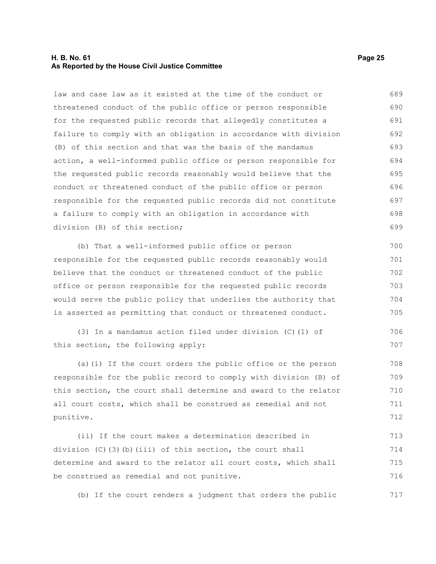#### **H. B. No. 61 Page 25 As Reported by the House Civil Justice Committee**

law and case law as it existed at the time of the conduct or threatened conduct of the public office or person responsible for the requested public records that allegedly constitutes a failure to comply with an obligation in accordance with division (B) of this section and that was the basis of the mandamus action, a well-informed public office or person responsible for the requested public records reasonably would believe that the conduct or threatened conduct of the public office or person responsible for the requested public records did not constitute a failure to comply with an obligation in accordance with division (B) of this section; (b) That a well-informed public office or person responsible for the requested public records reasonably would believe that the conduct or threatened conduct of the public office or person responsible for the requested public records would serve the public policy that underlies the authority that 689 690 691 692 693 694 695 696 697 698 699 700 701 702 703 704

is asserted as permitting that conduct or threatened conduct. (3) In a mandamus action filed under division (C)(1) of 705 706

this section, the following apply:

(a)(i) If the court orders the public office or the person responsible for the public record to comply with division (B) of this section, the court shall determine and award to the relator all court costs, which shall be construed as remedial and not punitive. 708 709 710 711 712

(ii) If the court makes a determination described in division  $(C)$  (3)(b)(iii) of this section, the court shall determine and award to the relator all court costs, which shall be construed as remedial and not punitive. 713 714 715 716

(b) If the court renders a judgment that orders the public 717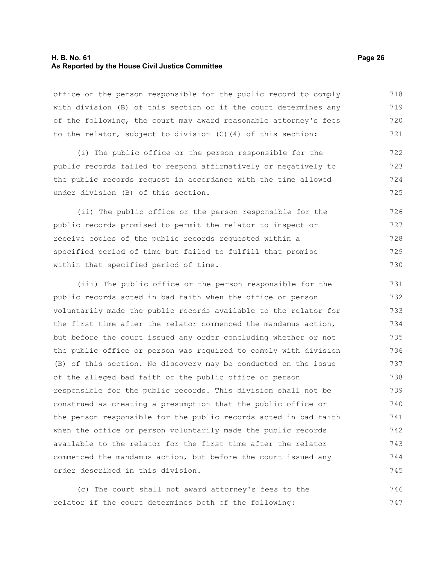#### **H. B. No. 61 Page 26 As Reported by the House Civil Justice Committee**

office or the person responsible for the public record to comply with division (B) of this section or if the court determines any of the following, the court may award reasonable attorney's fees to the relator, subject to division (C)(4) of this section: 718 719 720 721

(i) The public office or the person responsible for the public records failed to respond affirmatively or negatively to the public records request in accordance with the time allowed under division (B) of this section.

(ii) The public office or the person responsible for the public records promised to permit the relator to inspect or receive copies of the public records requested within a specified period of time but failed to fulfill that promise within that specified period of time. 726 727 728 729 730

(iii) The public office or the person responsible for the public records acted in bad faith when the office or person voluntarily made the public records available to the relator for the first time after the relator commenced the mandamus action, but before the court issued any order concluding whether or not the public office or person was required to comply with division (B) of this section. No discovery may be conducted on the issue of the alleged bad faith of the public office or person responsible for the public records. This division shall not be construed as creating a presumption that the public office or the person responsible for the public records acted in bad faith when the office or person voluntarily made the public records available to the relator for the first time after the relator commenced the mandamus action, but before the court issued any order described in this division. 731 732 733 734 735 736 737 738 739 740 741 742 743 744 745

(c) The court shall not award attorney's fees to the relator if the court determines both of the following: 746 747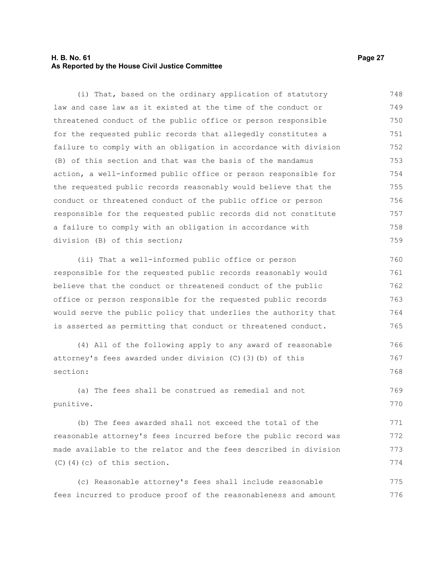#### **H. B. No. 61 Page 27 As Reported by the House Civil Justice Committee**

(i) That, based on the ordinary application of statutory law and case law as it existed at the time of the conduct or threatened conduct of the public office or person responsible for the requested public records that allegedly constitutes a failure to comply with an obligation in accordance with division (B) of this section and that was the basis of the mandamus action, a well-informed public office or person responsible for the requested public records reasonably would believe that the conduct or threatened conduct of the public office or person responsible for the requested public records did not constitute a failure to comply with an obligation in accordance with division (B) of this section; 748 749 750 751 752 753 754 755 756 757 758 759

(ii) That a well-informed public office or person responsible for the requested public records reasonably would believe that the conduct or threatened conduct of the public office or person responsible for the requested public records would serve the public policy that underlies the authority that is asserted as permitting that conduct or threatened conduct. 760 761 762 763 764 765

```
(4) All of the following apply to any award of reasonable
attorney's fees awarded under division (C)(3)(b) of this
section: 
                                                                             766
                                                                             767
                                                                             768
```
(a) The fees shall be construed as remedial and not punitive. 769 770

(b) The fees awarded shall not exceed the total of the reasonable attorney's fees incurred before the public record was made available to the relator and the fees described in division (C)(4)(c) of this section. 771 772 773 774

(c) Reasonable attorney's fees shall include reasonable fees incurred to produce proof of the reasonableness and amount 775 776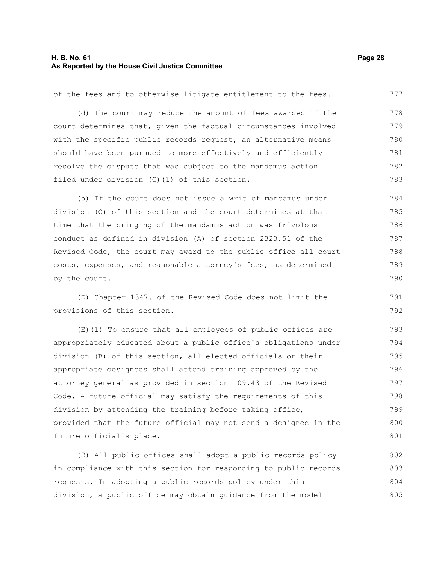#### **H. B. No. 61 Page 28 As Reported by the House Civil Justice Committee**

of the fees and to otherwise litigate entitlement to the fees. (d) The court may reduce the amount of fees awarded if the court determines that, given the factual circumstances involved with the specific public records request, an alternative means should have been pursued to more effectively and efficiently resolve the dispute that was subject to the mandamus action filed under division (C)(1) of this section. (5) If the court does not issue a writ of mandamus under 777 778 779 780 781 782 783 784 785 786 787 788

division (C) of this section and the court determines at that time that the bringing of the mandamus action was frivolous conduct as defined in division (A) of section 2323.51 of the Revised Code, the court may award to the public office all court costs, expenses, and reasonable attorney's fees, as determined by the court. 789 790

(D) Chapter 1347. of the Revised Code does not limit the provisions of this section.

(E)(1) To ensure that all employees of public offices are appropriately educated about a public office's obligations under division (B) of this section, all elected officials or their appropriate designees shall attend training approved by the attorney general as provided in section 109.43 of the Revised Code. A future official may satisfy the requirements of this division by attending the training before taking office, provided that the future official may not send a designee in the future official's place. 793 794 795 796 797 798 799 800 801

(2) All public offices shall adopt a public records policy in compliance with this section for responding to public records requests. In adopting a public records policy under this division, a public office may obtain guidance from the model 802 803 804 805

791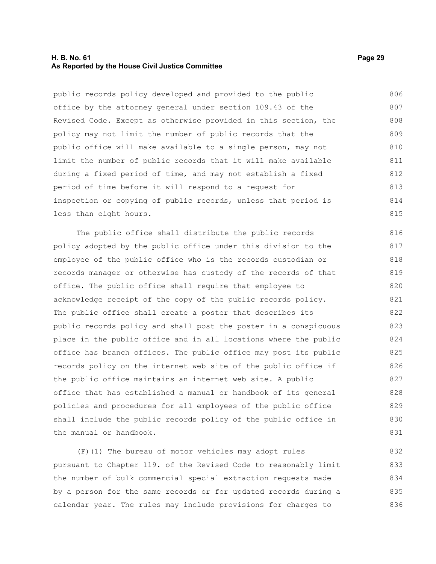#### **H. B. No. 61 Page 29 As Reported by the House Civil Justice Committee**

public records policy developed and provided to the public office by the attorney general under section 109.43 of the Revised Code. Except as otherwise provided in this section, the policy may not limit the number of public records that the public office will make available to a single person, may not limit the number of public records that it will make available during a fixed period of time, and may not establish a fixed period of time before it will respond to a request for inspection or copying of public records, unless that period is less than eight hours. The public office shall distribute the public records 806 807 808 809 810 811 812 813 814 815 816

policy adopted by the public office under this division to the employee of the public office who is the records custodian or records manager or otherwise has custody of the records of that office. The public office shall require that employee to acknowledge receipt of the copy of the public records policy. The public office shall create a poster that describes its public records policy and shall post the poster in a conspicuous place in the public office and in all locations where the public office has branch offices. The public office may post its public records policy on the internet web site of the public office if the public office maintains an internet web site. A public office that has established a manual or handbook of its general policies and procedures for all employees of the public office shall include the public records policy of the public office in the manual or handbook. 817 818 819 820 821 822 823 824 825 826 827 828 829 830 831

(F)(1) The bureau of motor vehicles may adopt rules pursuant to Chapter 119. of the Revised Code to reasonably limit the number of bulk commercial special extraction requests made by a person for the same records or for updated records during a calendar year. The rules may include provisions for charges to 832 833 834 835 836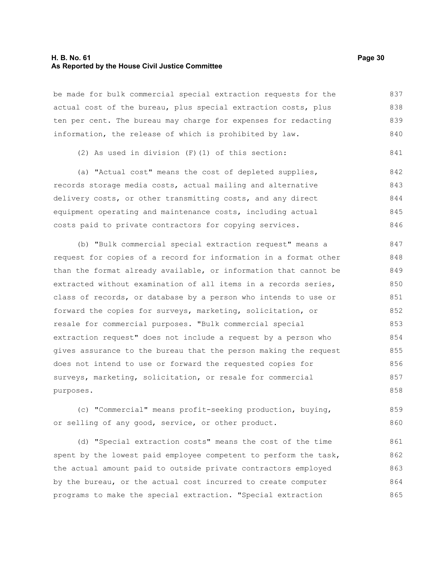#### **H. B. No. 61 Page 30 As Reported by the House Civil Justice Committee**

be made for bulk commercial special extraction requests for the actual cost of the bureau, plus special extraction costs, plus ten per cent. The bureau may charge for expenses for redacting information, the release of which is prohibited by law. 837 838 839 840

```
(2) As used in division (F)(1) of this section: 
                                                                        841
```
(a) "Actual cost" means the cost of depleted supplies, records storage media costs, actual mailing and alternative delivery costs, or other transmitting costs, and any direct equipment operating and maintenance costs, including actual costs paid to private contractors for copying services. 842 843 844 845 846

(b) "Bulk commercial special extraction request" means a request for copies of a record for information in a format other than the format already available, or information that cannot be extracted without examination of all items in a records series, class of records, or database by a person who intends to use or forward the copies for surveys, marketing, solicitation, or resale for commercial purposes. "Bulk commercial special extraction request" does not include a request by a person who gives assurance to the bureau that the person making the request does not intend to use or forward the requested copies for surveys, marketing, solicitation, or resale for commercial purposes. 847 848 849 850 851 852 853 854 855 856 857 858

(c) "Commercial" means profit-seeking production, buying, or selling of any good, service, or other product. 859 860

(d) "Special extraction costs" means the cost of the time spent by the lowest paid employee competent to perform the task, the actual amount paid to outside private contractors employed by the bureau, or the actual cost incurred to create computer programs to make the special extraction. "Special extraction 861 862 863 864 865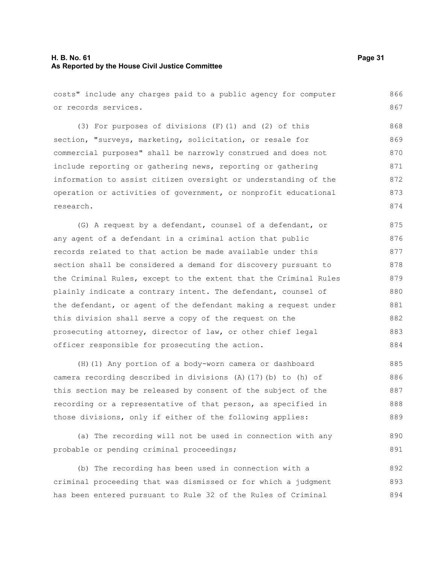#### **H. B. No. 61 Page 31 As Reported by the House Civil Justice Committee**

costs" include any charges paid to a public agency for computer or records services. 866 867

(3) For purposes of divisions (F)(1) and (2) of this section, "surveys, marketing, solicitation, or resale for commercial purposes" shall be narrowly construed and does not include reporting or gathering news, reporting or gathering information to assist citizen oversight or understanding of the operation or activities of government, or nonprofit educational research. 868 869 870 871 872 873 874

(G) A request by a defendant, counsel of a defendant, or any agent of a defendant in a criminal action that public records related to that action be made available under this section shall be considered a demand for discovery pursuant to the Criminal Rules, except to the extent that the Criminal Rules plainly indicate a contrary intent. The defendant, counsel of the defendant, or agent of the defendant making a request under this division shall serve a copy of the request on the prosecuting attorney, director of law, or other chief legal officer responsible for prosecuting the action. 875 876 877 878 879 880 881 882 883 884

(H)(1) Any portion of a body-worn camera or dashboard camera recording described in divisions (A)(17)(b) to (h) of this section may be released by consent of the subject of the recording or a representative of that person, as specified in those divisions, only if either of the following applies: 885 886 887 888 889

(a) The recording will not be used in connection with any probable or pending criminal proceedings;

(b) The recording has been used in connection with a criminal proceeding that was dismissed or for which a judgment has been entered pursuant to Rule 32 of the Rules of Criminal 892 893 894